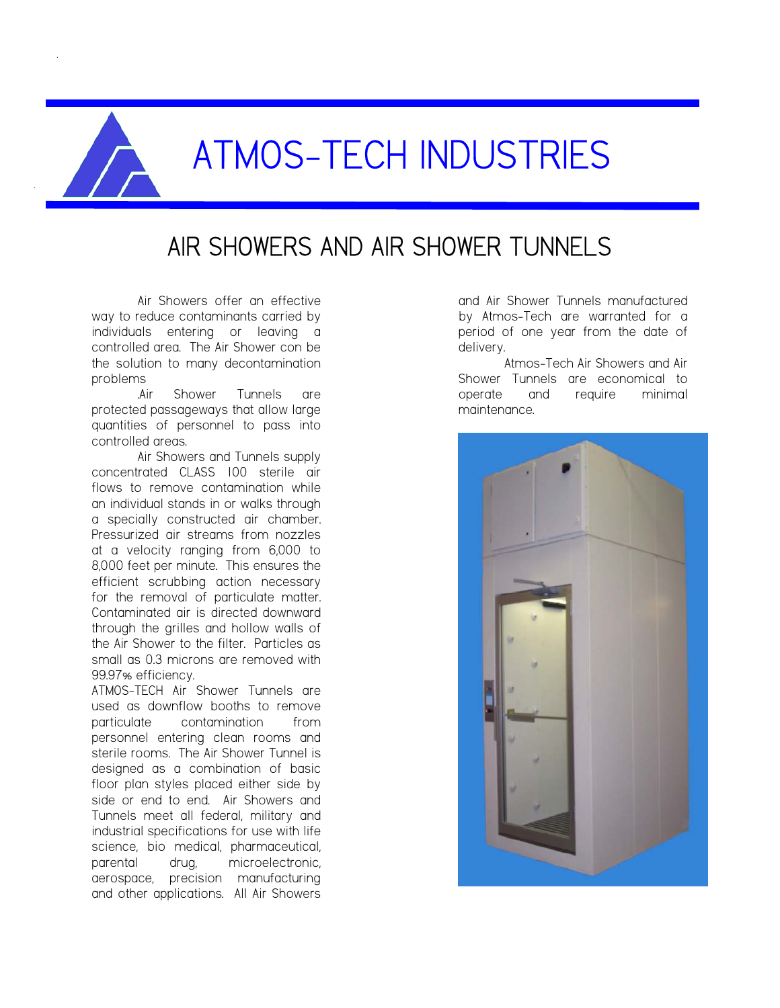

# AIR SHOWERS AND AIR SHOWER TUNNELS

Air Showers offer an effective way to reduce contaminants carried by individuals entering or leaving a controlled area. The Air Shower con be the solution to many decontamination problems

.Air Shower Tunnels are protected passageways that allow large quantities of personnel to pass into controlled areas.

Air Showers and Tunnels supply concentrated CLASS 100 sterile air flows to remove contamination while an individual stands in or walks through a specially constructed air chamber. Pressurized air streams from nozzles at a velocity ranging from 6,000 to 8,000 feet per minute. This ensures the efficient scrubbing action necessary for the removal of particulate matter. Contaminated air is directed downward through the grilles and hollow walls of the Air Shower to the filter. Particles as small as 0.3 microns are removed with 99.97% efficiency.

ATMOS-TECH Air Shower Tunnels are used as downflow booths to remove particulate contamination from personnel entering clean rooms and sterile rooms. The Air Shower Tunnel is designed as a combination of basic floor plan styles placed either side by side or end to end. Air Showers and Tunnels meet all federal, military and industrial specifications for use with life science, bio medical, pharmaceutical, parental drug, microelectronic, aerospace, precision manufacturing and other applications. All Air Showers

and Air Shower Tunnels manufactured by Atmos-Tech are warranted for a period of one year from the date of delivery.

Atmos-Tech Air Showers and Air Shower Tunnels are economical to operate and require minimal maintenance.

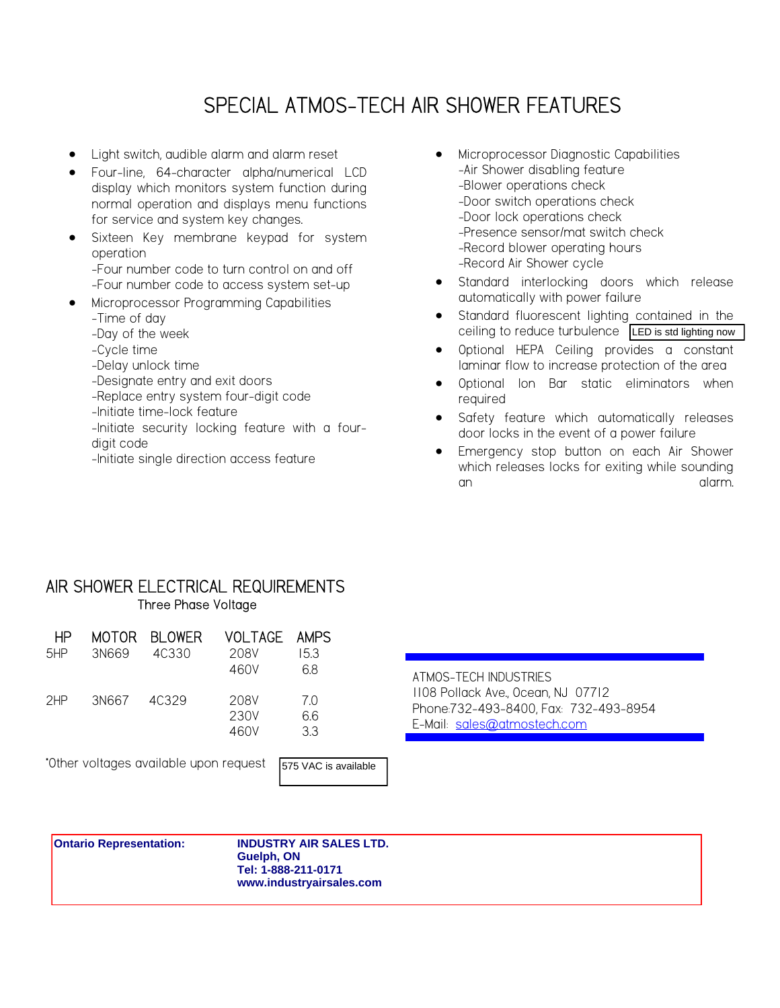## SPECIAL ATMOS-TECH AIR SHOWER FEATURES

- Light switch, audible alarm and alarm reset
- Four-line, 64-character alpha/numerical LCD display which monitors system function during normal operation and displays menu functions for service and system key changes.
- Sixteen Key membrane keypad for system operation -Four number code to turn control on and off
- -Four number code to access system set-up • Microprocessor Programming Capabilities
	- -Time of day
	- -Day of the week
	- -Cycle time
	- -Delay unlock time
	- -Designate entry and exit doors
	- -Replace entry system four-digit code
	- -Initiate time-lock feature
	- -Initiate security locking feature with a fourdigit code
	- -Initiate single direction access feature
- Microprocessor Diagnostic Capabilities -Air Shower disabling feature -Blower operations check -Door switch operations check -Door lock operations check -Presence sensor/mat switch check -Record blower operating hours -Record Air Shower cycle
- Standard interlocking doors which release automatically with power failure
- Standard fluorescent lighting contained in the ceiling to reduce turbulence LED is std lighting now
- Optional HEPA Ceiling provides a constant laminar flow to increase protection of the area
- Optional Ion Bar static eliminators when required
- Safety feature which automatically releases door locks in the event of a power failure
- Emergency stop button on each Air Shower which releases locks for exiting while sounding an an an an an an alarm.

#### AIR SHOWER ELECTRICAL REQUIREMENTS Three Phase Voltage

| ΗP  |       | MOTOR BLOWER | VOLTAGE AMPS |     |
|-----|-------|--------------|--------------|-----|
| 5HP | 3N669 | 40330        | 208V         | 153 |
|     |       |              | 460V         | 68  |
| 2HP | 3N667 | 40329        | 208V         | 70  |
|     |       |              | 230V         | 66  |
|     |       |              | 460V         | 33  |

\*Other voltages available upon request



ATMOS-TECH INDUSTRIES 1108 Pollack Ave., Ocean, NJ 07712 Phone:732-493-8400, Fax: 732-493-8954 E-Mail: sales@atmostech.com

#### **Ontario Representation: INDUSTRY AIR SALES LTD.**

**Guelph, ON Tel: 1-888-211-0171** quest<br> **WAC is available<br>
STAC IS AVAC IS AVACES LTD**<br> **WACK COMPTER CONTERNATES**<br>
Tel: 1-888-211-0171<br>
WWW.industryairsales.com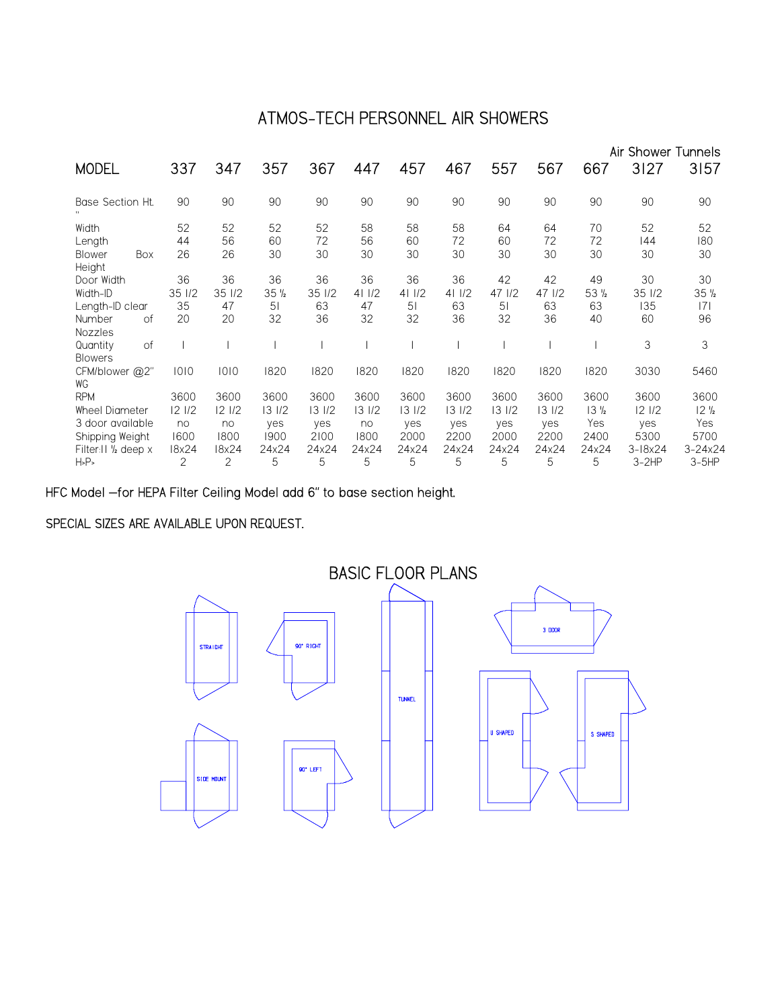## ATMOS-TECH PERSONNEL AIR SHOWERS

|                                                                   |                     |                      |                       |                      |                     |                       |                      |                      |                      |                                | Air Shower Tunnels     |                                |
|-------------------------------------------------------------------|---------------------|----------------------|-----------------------|----------------------|---------------------|-----------------------|----------------------|----------------------|----------------------|--------------------------------|------------------------|--------------------------------|
| <b>MODEL</b>                                                      | 337                 | 347                  | 357                   | 367                  | 447                 | 457                   | 467                  | 557                  | 567                  | 667                            | 3127                   | 3157                           |
| Base Section Ht.                                                  | 90                  | 90                   | 90                    | 90                   | 90                  | 90                    | 90                   | 90                   | 90                   | 90                             | 90                     | 90                             |
| Width<br>Length<br>Box<br><b>Blower</b><br>Height                 | 52<br>44<br>26      | 52<br>56<br>26       | 52<br>60<br>30        | 52<br>72<br>30       | 58<br>56<br>30      | 58<br>60<br>30        | 58<br>72<br>30       | 64<br>60<br>30       | 64<br>72<br>30       | 70<br>72<br>30                 | 52<br>144<br>30        | 52<br>180<br>30                |
| Door Width<br>Width-ID                                            | 36<br>35 1/2        | 36<br>35 1/2         | 36<br>35 <sub>2</sub> | 36<br>35 1/2         | 36<br>411/2         | 36<br>411/2           | 36<br>411/2          | 42<br>47 1/2         | 42<br>47 1/2         | 49<br>53 <sub>2</sub>          | 30<br>35 1/2           | 30<br>$35\frac{1}{2}$          |
| Length-ID clear<br>Number<br>of                                   | 35<br>20            | 47<br>20             | 5 <sub>1</sub><br>32  | 63<br>36             | 47<br>32            | 5 <sub>1</sub><br>32  | 63<br>36             | 51<br>32             | 63<br>36             | 63<br>40                       | 135<br>60              | 7 <br>96                       |
| Nozzles<br><b>of</b><br>Quantity<br><b>Blowers</b>                |                     |                      |                       |                      |                     |                       |                      |                      |                      |                                | 3                      | 3                              |
| CFM/blower @2"<br>WG                                              | 1010                | 1010                 | 1820                  | 1820                 | 1820                | 1820                  | 1820                 | 1820                 | 1820                 | 1820                           | 3030                   | 5460                           |
| <b>RPM</b>                                                        | 3600                | 3600                 | 3600                  | 3600                 | 3600                | 3600                  | 3600                 | 3600                 | 3600                 | 3600                           | 3600                   | 3600                           |
| Wheel Diameter<br>3 door available<br>Shipping Weight             | 121/2<br>no<br>1600 | 12 1/2<br>no<br>1800 | 131/2<br>yes<br>1900  | 131/2<br>yes<br>2100 | 131/2<br>no<br>1800 | 13 1/2<br>yes<br>2000 | 131/2<br>yes<br>2200 | 131/2<br>yes<br>2000 | 131/2<br>yes<br>2200 | 13 <sub>2</sub><br>Yes<br>2400 | 121/2<br>yes<br>5300   | 12 <sub>2</sub><br>Yes<br>5700 |
| Filter: I 1' <sub>2</sub> deep x<br>H <sub>5</sub> P <sub>5</sub> | 18x24<br>2          | 18x24<br>2           | 24x24<br>5            | 24x24<br>5           | 24x24<br>5          | 24x24<br>5            | 24x24<br>5           | 24x24<br>5           | 24x24<br>5           | 24x24<br>5                     | $3 - 18x24$<br>$3-2HP$ | $3 - 24 \times 24$<br>$3-5HP$  |

HFC Model –for HEPA Filter Ceiling Model add 6" to base section height.

#### SPECIAL SIZES ARE AVAILABLE UPON REQUEST.